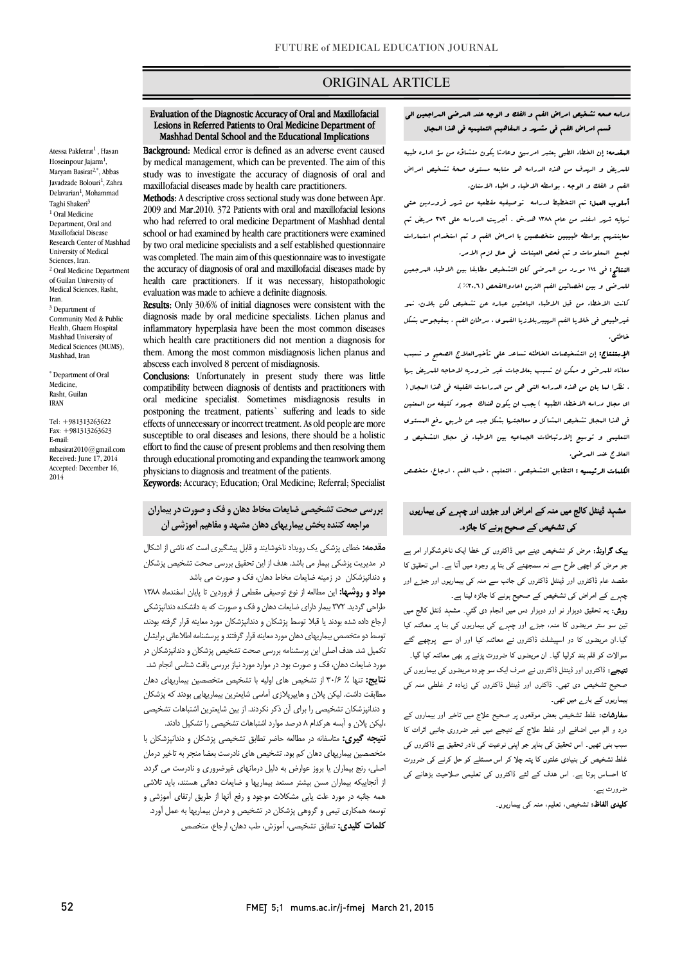### ORIGINAL ARTICLE

### Evaluation of the Diagnostic Accuracy of Oral and Maxillofacial Lesions in Referred Patients to Oral Medicine Department of Mashhad Dental School and the Educational Implications

Ī

 Background: Medical error is defined as an adverse event caused study was to investigate the accuracy of diagnosis of oral and maxillofacial diseases made by health care practitioners. by medical management, which can be prevented. The aim of this

 2009 and Mar.2010. 372 Patients with oral and maxillofacial lesions who had referred to oral medicine Department of Mashhad dental school or had examined by health care practitioners were examined was completed. The main aim of this questionnaire was to investigate the accuracy of diagnosis of oral and maxillofacial diseases made by evaluation was made to achieve a definite diagnosis. Methods: A descriptive cross sectional study was done between Apr. by two oral medicine specialists and a self established questionnaire health care practitioners. If it was necessary, histopathologic

Results: Only 30/6% of initial diagnoses were consistent with the diagnosis made by oral medicine specialists. Lichen planus and which health care practitioners did not mention a diagnosis for them. Among the most common misdiagnosis lichen planus and abscess each involved 8 percent of misdiagnosis. inflammatory hyperplasia have been the most common diseases

 compatibility between diagnosis of dentists and practitioners with oral medicine specialist. Sometimes misdiagnosis results in effects of unnecessary or incorrect treatment. As old people are more susceptible to oral diseases and lesions, there should be a holistic through educational promoting and expanding the teamwork among physicians to diagnosis and treatment of the patients. Conclusions: Unfortunately in present study there was little postponing the treatment, patients` suffering and leads to side effort to find the cause of present problems and then resolving them

Keywords: Accuracy; Education; Oral Medicine; Referral; Specialist

# بررسی صحت تشخیصی ضایعات مخاط دهان و فک وصورت در بیماران مراجعه کننده بخش بیماریهاي دهان مشهد و مفاهیم آموزشی آن

 مقدمه: خطاي پزشکی یک رویداد ناخوشایندو قابل پیشگیري است که ناشی از اشکال در مدیریت پزشکی بیمار می باشد. هدف از این تحقیق بررسی صحت تشخیص پزشکان و دندانپزشکان در زمینه ضایعات مخاط دهان، فک و صورت می باشد

و مست<sub>ور</sub>ستان مرکزیند میشود 2004 میتون مصرفی و موردین تا پایان اسفندماه ۱۳۸۸<br>**مواد و روشها:** این مطالعه از نوع توصیفی مقطعی از فروردین تا پایان اسفندماه ۱۳۸۸ طراحی گردید. 372 بیمار داراي ضایعات دهان و فک و صورت که به دانشکده دندانپزشکی ارجاع داده شده بودند یا قبلا توسط پزشکان و دندانپزشکان مورد معاینه قرار گرفته بودند، توسط دو متخصص بیماریهاي دهان مورد معاینه قرار گرفتند و پرسشنامه اطلاعاتی برایشان تکمیل شد. هدف اصلی این پرسشنامه بررسی صحت تشخیص پزشکان و دندانپزشکان در مورد ضایعات دهان، فک و صورت بود. در موارد مورد نیاز بررسی بافت شناسی انجام شد. ن**تایج:** تنها ٪ ۳۰/۶ از تشخیص های اولیه با تشخیص متخصصین بیماریهای دهان مطابقت داشت. لیکن پلان و هایپرپلازي آماسی شایعترین بیماریهایی بودند که پزشکان و دندانپزشکان تشخیصی را براي آن ذکر نکردند. از بین شایعترین اشتباهات تشخیصی

 ،لیکن پلان و آبسه هرکدام 8 درصد موارد اشتباهات تشخیصی را تشکیل دادند. نتیجه گیري: متاسفانه در مطالعه حاضر تطابق تشخیصی پزشکان و دندانپزشکان با متخصصین بیماریهاي دهان کم بود. تشخیص هاي نادرست بعضا منجر به تاخیر درمان اصلی، رنج بیماران یا بروز عوارض به دلیل درمانهاي غیرضروري و نادرست می گردد. از آنجاییکه بیماران مسن بیشتر مستعد بیماریها و ضایعات دهانی هستند، باید تلاشی همه جانبه در مورد علت یابی مشکلات موجود و رفع آنها از طریق ارتقاي آموزشی و توسعه همکاري تیمی و گروهی پزشکان در تشخیص و درمان بیماریها به عمل آورد. <mark>کلمات کلیدی:</mark> تطابق تشخیصی، آموزش، طب دهان، ارجاع، متخصص

#### دراسه صحه تشخیص امراض الفم و الفک و الوجه عند المرضی المراجعین الی j قسم امراض الفم فی مشهد و المفاهیم التعلیمیه فی هذا المجال

Ī

 المقدمه: إن الخطاء الطبی یعتبر امرسیئ وعادتا یکون منشاؤه من سؤ اداره طبیه للمریض و الهدف من هذه الدراسه هو متابعه مستوي صحۀ تشخیص امراض الفم و الفک و الوجه . بواسطه الاطباء و اطباء الاسنان.

> أسلوب العمل: تم التخطیط لدراسه توصیفیه مقطعیه من شهر فروردین حتی نهایه شهر اسفند من عام 1388 هد.ش . أجریت الدراسه علی 372 مریض تم معاینتهم بواسطه طبیبین متخصصین با امراض الفم و تم استخدام استمارات لجمع المعلومات و تم فحص العینات فی حال لزم الامر.

> النتائج: فی 114 مورد من المرضی کان التشخیص مطابقا بین الاطباء المرجعین للمرضی و بین اخصائین الفم الذین اعادواالفحص (%30,6).

> کانت الاخطاء من قبل الاطباء الباعثین عباره عن تشخیص لکن بلان، نمو غیرطبیعی فی خلایا الفم الهیبربلازیا الفموي ، سرطان الفم ، بمفیجوس بشکل خاطئی.

> الإستنتاج: إن التشخیصات الخاطئه تساعد علی تأخیرالعلاج الصحیح و تسبب معاناه للمرضی و ممکن ان تسبب بعلاجات غیر ضروریه لاحاجه للمریض بها . نظرا لما بان من هذه الدراسه التی هی من الدراسات القلیله فی هذا المجال ( اي مجال دراسه الاخطاء الطبیه ) یجب ان یکون هناك جهود کثیفه من المعنین فی هذا المجال تشخیص المشاکل و معالجتها بشکل جید عن طریق رفع المستوي التعلیمی و توسیع إلارتباطات الجماعیه بین الاطباء فی مجال التشخیص و العلاج عند المرضی.

ا**لکلمات الرئیسیه :** التطابو<sub>ه</sub> التشخیصی ، التعلیم ، طب الفم ، ارجاع، متخصص

# ۔<br>مشہد ڈینٹل کالج میں منہ کے امراض اور جبڑوں اور چہرے ک*ی* بیماریوں کی تشخیص کے صحیح ہونے کا جائزہ۔<br>۔

**یپک گراونڈ:** مرض کو تشخیص دینے میں ڈاکٹروں کی خطا ایک ناخوشگوار امر ہے جو مرض کو اچھی طرح سے نہ سمجھنے کی بنا پر وجود میں آتا ہے۔ اس تحقیق کا مقصد عام ڈاکٹروں اور ڈینٹل ڈاکٹروں کی جانب سے منہ کی بیماریوں اور جبڑے اور چہر<sub>ے</sub> کے امراض کی تشخیص کے صحیح ہونے کا جائزہ لینا ہے۔<br>۔

ریس، یہ مسیق مزہر رہی ہو ہے۔ اس میں ایس میں اور عالم کے مسیح مسی مسیح ہے۔<br>نین سو ستر مریضوں کا منہ، جبڑے اور چہرے کی بیماریوں کی بنا پر معائنہ کیا ۔ان ں دو ا ڈاوں اور ان ۔<br>سوالات کو قلم بند کرلیا گیا۔ ان مریضوں کا ضرورت پڑنے پر بھی معائنہ کیا گیا۔ **تیجے:** ڈاکٹروں اور ڈینٹل ڈاکٹروں نے صرف ایک سو چودہ مریضوں کی بیماریوں کی صحیح تشخیص دی تھی۔ ڈاکٹرں اور ڈینٹل ڈاکٹروں کی زیادہ تر غلطی منہ کی یماریوں کے بارے میں تھی۔ **روش:** یہ تحقیق دوہزار نو اور دوہزار دس میں انجام دی گئی۔ مشہد ڈنٹل کالج میں

**سفارشات:** غلط تشخیص بعض موقعوں پر صحیح علاج میں تاخیر اور بیماروں کے درد و الم میں اضافے اور غلط علاج کے نتیجے میں غیر ضروری جانبی اثرات کا سبب بنی تھیں۔ اس تحقیق کی بناپر جو اپنی نوعیت کی نادر تحقیق ہے ڈاکٹروں کی<br>۔ سے سے بھی بی بی میں سون نے پید پی ہر س مستبقے ہو اس طرح ہی سوررت<br>کا احساس ہوتا ہے۔ اس ہدف کے لئے ڈاکٹروں کی تعلیمی صلاحیت بڑھانے کی .<br>غلط تشخیص کی بنیادی علتوں کا پتہ چلا کر اس مسئلے کو حل کرنے کی ضرورت ضرورت ہے۔

**کلیدی الفاظ:** تشخیص، تعلیم، منہ کی بیماریوں۔

Atessa Pakfetrat<sup>1</sup>, Hasan Hoseinpour Jajarm<sup>1</sup>, Maryam Basirat<sup>2,\*</sup>, Abbas Javadzade Bolouri<sup>1</sup>, Zahra Delavarian<sup>1</sup>, Mohammad Taghi Shakeri3  $1$  Oral Medicine Department, Oral and Maxillofacial Disease Research Center of Mashhad University of Medical Sciences, Iran. <sup>2</sup> Oral Medicine Department of Guilan University of Medical Sciences, Rasht

Iran. <sup>3</sup> Department of Community Med & Public Health, Ghaem Hospital Mashhad University of Medical Sciences (MUMS), Mashhad, Iran \* Department of Oral Medicine, Rasht, Guilan IRAN

Tel: +981313263622 Fax: +981313263623

mbasirat2010@gmail.com Received: June 17, 2014 Accepted: December 16,

E-mail:

2014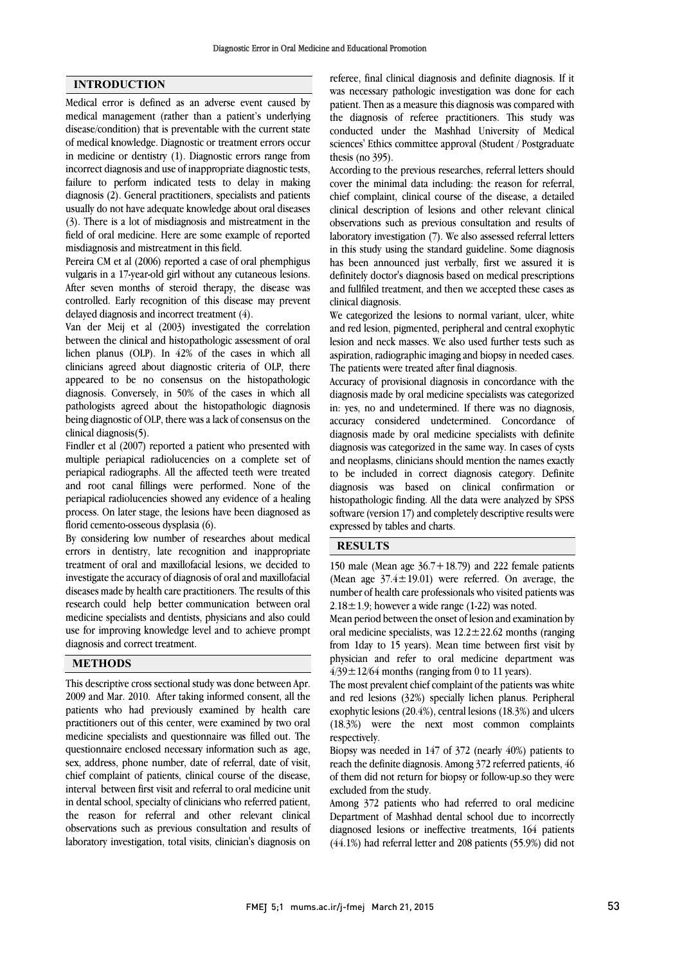### INTRODUCTION

Medical error is defined as an adverse event caused by medical management (rather than a patient's underlying disease/condition) that is preventable with the current state of medical knowledge. Diagnostic or treatment errors occur in medicine or dentistry (1). Diagnostic errors range from incorrect diagnosis and use of inappropriate diagnostic tests, failure to perform indicated tests to delay in making diagnosis (2). General practitioners, specialists and patients usually do not have adequate knowledge about oral diseases (3). There is a lot of misdiagnosis and mistreatment in the field of oral medicine. Here are some example of reported misdiagnosis and mistreatment in this field.

Pereira CM et al (2006) reported a case of oral phemphigus vulgaris in a 17-year-old girl without any cutaneous lesions. After seven months of steroid therapy, the disease was controlled. Early recognition of this disease may prevent delayed diagnosis and incorrect treatment (4).

Van der Meij et al (2003) investigated the correlation between the clinical and histopathologic assessment of oral lichen planus (OLP). In 42% of the cases in which all clinicians agreed about diagnostic criteria of OLP, there appeared to be no consensus on the histopathologic diagnosis. Conversely, in 50% of the cases in which all pathologists agreed about the histopathologic diagnosis being diagnostic of OLP, there was a lack of consensus on the clinical diagnosis(5).

Findler et al (2007) reported a patient who presented with multiple periapical radiolucencies on a complete set of periapical radiographs. All the affected teeth were treated and root canal fillings were performed. None of the periapical radiolucencies showed any evidence of a healing process. On later stage, the lesions have been diagnosed as florid cemento-osseous dysplasia (6).

By considering low number of researches about medical errors in dentistry, late recognition and inappropriate treatment of oral and maxillofacial lesions, we decided to investigate the accuracy of diagnosis of oral and maxillofacial diseases made by health care practitioners. The results of this research could help better communication between oral medicine specialists and dentists, physicians and also could use for improving knowledge level and to achieve prompt diagnosis and correct treatment.

#### METHODS

This descriptive cross sectional study was done between Apr. 2009 and Mar. 2010. After taking informed consent, all the patients who had previously examined by health care practitioners out of this center, were examined by two oral medicine specialists and questionnaire was filled out. The questionnaire enclosed necessary information such as age, sex, address, phone number, date of referral, date of visit, chief complaint of patients, clinical course of the disease, interval between first visit and referral to oral medicine unit in dental school, specialty of clinicians who referred patient, the reason for referral and other relevant clinical observations such as previous consultation and results of laboratory investigation, total visits, clinician's diagnosis on

 referee, final clinical diagnosis and definite diagnosis. If it was necessary pathologic investigation was done for each patient. Then as a measure this diagnosis was compared with the diagnosis of referee practitioners. This study was sciences' Ethics committee approval (Student / Postgraduate thesis (no 395). conducted under the Mashhad University of Medical

 According to the previous researches, referral letters should cover the minimal data including: the reason for referral, clinical description of lesions and other relevant clinical observations such as previous consultation and results of laboratory investigation (7). We also assessed referral letters in this study using the standard guideline. Some diagnosis definitely doctor's diagnosis based on medical prescriptions and fullfiled treatment, and then we accepted these cases as clinical diagnosis. chief complaint, clinical course of the disease, a detailed has been announced just verbally, first we assured it is

 We categorized the lesions to normal variant, ulcer, white lesion and neck masses. We also used further tests such as aspiration, radiographic imaging and biopsy in needed cases. The patients were treated after final diagnosis. and red lesion, pigmented, peripheral and central exophytic

 Accuracy of provisional diagnosis in concordance with the in: yes, no and undetermined. If there was no diagnosis, accuracy considered undetermined. Concordance of diagnosis made by oral medicine specialists with definite diagnosis was categorized in the same way. In cases of cysts to be included in correct diagnosis category. Definite diagnosis was based on clinical confirmation or histopathologic finding. All the data were analyzed by SPSS software (version 17) and completely descriptive results were expressed by tables and charts. diagnosis made by oral medicine specialists was categorized and neoplasms, clinicians should mention the names exactly

## RESULTS

 Mean period between the onset of lesion and examination by oral medicine specialists, was  $12.2 \pm 22.62$  months (ranging from 1day to 15 years). Mean time between first visit by  $4/39 \pm 12/64$  months (ranging from 0 to 11 years). physician and refer to oral medicine department was

 The most prevalent chief complaint of the patients was white and red lesions (32%) specially lichen planus. Peripheral  $(18.3%)$  were the next most common complaints respectively. exophytic lesions (20.4%), central lesions (18.3%) and ulcers

 Biopsy was needed in 147 of 372 (nearly 40%) patients to reach the definite diagnosis. Among 372 referred patients, 46 of them did not return for biopsy or follow-up.so they were excluded from the study.

 Among 372 patients who had referred to oral medicine Department of Mashhad dental school due to incorrectly diagnosed lesions or ineffective treatments, 164 patients (44.1%) had referral letter and 208 patients (55.9%) did not

 150 male (Mean age 36.7+18.79) and 222 female patients (Mean age  $37.4 \pm 19.01$ ) were referred. On average, the  $2.18 \pm 1.9$ ; however a wide range  $(1-22)$  was noted. number of health care professionals who visited patients was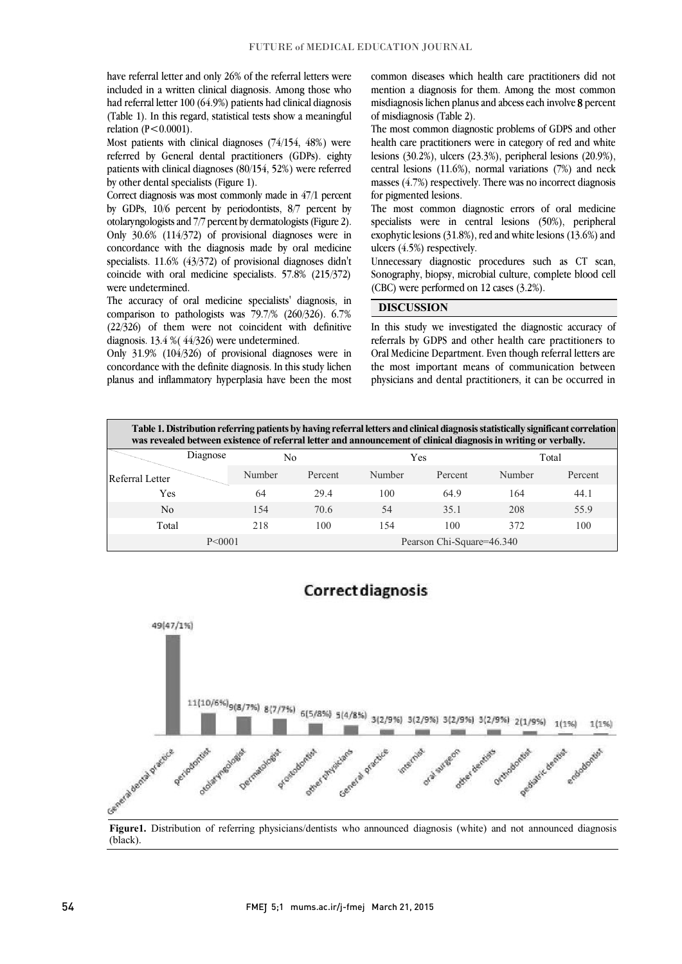have referral letter and only 26% of the referral letters were included in a written clinical diagnosis. Among those who had referral letter 100 (64.9%) patients had clinical diagnosis (Table 1). In this regard, statistical tests show a meaningful relation (P<0.0001).

 Most patients with clinical diagnoses (74/154, 48%) were referred by General dental practitioners (GDPs). eighty patients with clinical diagnoses (80/154, 52%) were referred by other dental specialists (Figure 1).

 Correct diagnosis was most commonly made in 47/1 percent by GDPs, 10/6 percent by periodontists, 8/7 percent by otolaryngologists and 7/7 percent by dermatologists (Figure 2). Only 30.6% (114/372) of provisional diagnoses were in concordance with the diagnosis made by oral medicine coincide with oral medicine specialists. 57.8% (215/372) specialists. 11.6% (43/372) of provisional diagnoses didn't were undetermined.

 The accuracy of oral medicine specialists' diagnosis, in comparison to pathologists was 79.7/% (260/326). 6.7% (22/326) of them were not coincident with definitive diagnosis. 13.4 %( 44/326) were undetermined.

 Only 31.9% (104/326) of provisional diagnoses were in concordance with the definite diagnosis. In this study lichen planus and inflammatory hyperplasia have been the most

 common diseases which health care practitioners did not mention a diagnosis for them. Among the most common misdiagnosis lichen planus and abcess each involve 8 percent of misdiagnosis (Table 2).

 The most common diagnostic problems of GDPS and other health care practitioners were in category of red and white lesions (30.2%), ulcers (23.3%), peripheral lesions (20.9%), central lesions (11.6%), normal variations (7%) and neck masses (4.7%) respectively. There was no incorrect diagnosis for pigmented lesions.

The most common diagnostic errors of oral medicine specialists were in central lesions (50%), peripheral exophytic lesions (31.8%), red and white lesions (13.6%) and ulcers (4.5%) respectively.

uncessary diagnostic procedures such as CT scan, Sonography, biopsy, microbial culture, complete blood cell (CBC) were performed on 12 cases (3.2%).

I

#### DISCUSSION

 In this study we investigated the diagnostic accuracy of referrals by GDPS and other health care practitioners to Oral Medicine Department. Even though referral letters are the most important means of communication between physicians and dental practitioners, it can be occurred in

| Table 1. Distribution referring patients by having referral letters and clinical diagnosis statistically significant correlation<br>was revealed between existence of referral letter and announcement of clinical diagnosis in writing or verbally. |          |        |         |                           |         |        |         |  |  |  |
|------------------------------------------------------------------------------------------------------------------------------------------------------------------------------------------------------------------------------------------------------|----------|--------|---------|---------------------------|---------|--------|---------|--|--|--|
|                                                                                                                                                                                                                                                      | Diagnose | No     |         | Yes                       |         | Total  |         |  |  |  |
| Referral Letter                                                                                                                                                                                                                                      |          | Number | Percent | Number                    | Percent | Number | Percent |  |  |  |
| Yes                                                                                                                                                                                                                                                  |          | 64     | 29.4    | 100                       | 64.9    | 164    | 44.1    |  |  |  |
| No                                                                                                                                                                                                                                                   |          | 154    | 70.6    | 54                        | 35.1    | 208    | 55.9    |  |  |  |
| Total                                                                                                                                                                                                                                                |          | 218    | 100     | 154                       | 100     | 372    | 100     |  |  |  |
| P < 0001                                                                                                                                                                                                                                             |          |        |         | Pearson Chi-Square=46.340 |         |        |         |  |  |  |



# j

Figure1. Distribution of referring physicians/dentists who announced diagnosis (white) and not announced diagnosis j  $\overline{a}$ (black).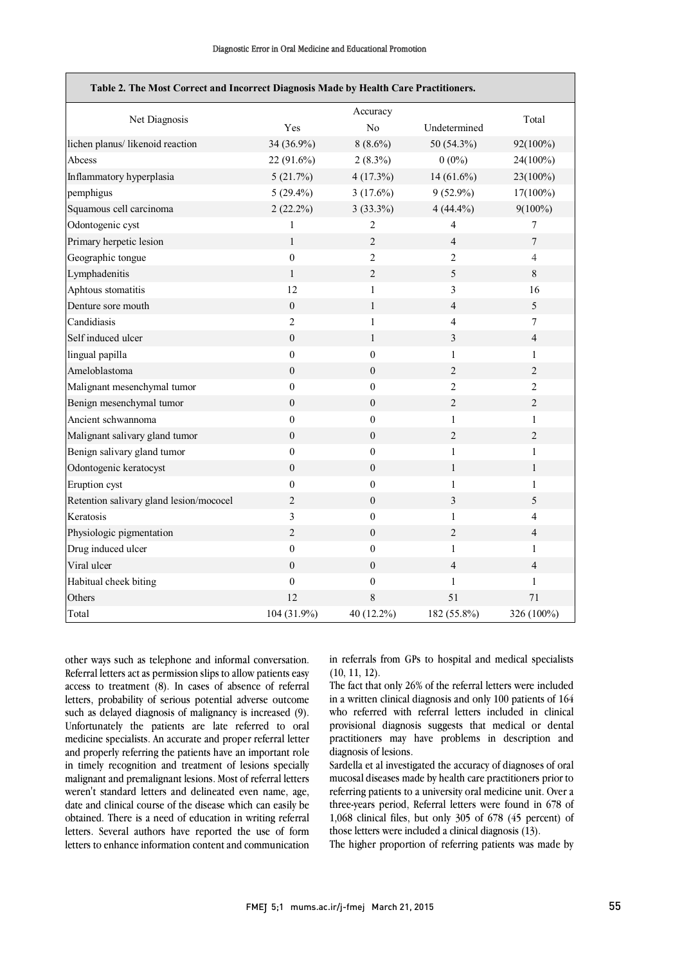$\overline{\phantom{a}}$ 

| Table 2. The Most Correct and Incorrect Diagnosis Made by Health Care Practitioners. |                  |                  |                         |                  |  |  |  |  |  |
|--------------------------------------------------------------------------------------|------------------|------------------|-------------------------|------------------|--|--|--|--|--|
| Net Diagnosis                                                                        |                  | Accuracy         |                         | Total            |  |  |  |  |  |
|                                                                                      | Yes              | N <sub>o</sub>   | Undetermined            |                  |  |  |  |  |  |
| lichen planus/ likenoid reaction                                                     | 34 (36.9%)       | $8(8.6\%)$       | 50 (54.3%)              | 92(100%)         |  |  |  |  |  |
| Abcess                                                                               | 22 (91.6%)       | $2(8.3\%)$       | $0(0\%)$                | 24(100%)         |  |  |  |  |  |
| Inflammatory hyperplasia                                                             | 5(21.7%)         | 4(17.3%)         | $14(61.6\%)$            | 23(100%)         |  |  |  |  |  |
| pemphigus                                                                            | $5(29.4\%)$      | $3(17.6\%)$      | $9(52.9\%)$             | $17(100\%)$      |  |  |  |  |  |
| Squamous cell carcinoma                                                              | $2(22.2\%)$      | $3(33.3\%)$      | $4(44.4\%)$             | $9(100\%)$       |  |  |  |  |  |
| Odontogenic cyst                                                                     | $\mathbf{1}$     | $\overline{2}$   | $\overline{4}$          | 7                |  |  |  |  |  |
| Primary herpetic lesion                                                              | $\mathbf{1}$     | $\overline{c}$   | $\overline{4}$          | $\boldsymbol{7}$ |  |  |  |  |  |
| Geographic tongue                                                                    | $\boldsymbol{0}$ | $\overline{c}$   | $\overline{2}$          | $\overline{4}$   |  |  |  |  |  |
| Lymphadenitis                                                                        | $\mathbf{1}$     | $\sqrt{2}$       | 5                       | $\,8\,$          |  |  |  |  |  |
| Aphtous stomatitis                                                                   | 12               | $\mathbf{1}$     | 3                       | 16               |  |  |  |  |  |
| Denture sore mouth                                                                   | $\boldsymbol{0}$ | $\mathbf{1}$     | $\overline{4}$          | 5                |  |  |  |  |  |
| Candidiasis                                                                          | $\overline{2}$   | $\mathbf{1}$     | $\overline{4}$          | $\tau$           |  |  |  |  |  |
| Self induced ulcer                                                                   | $\mathbf{0}$     | $\mathbf{1}$     | $\mathfrak{Z}$          | $\overline{4}$   |  |  |  |  |  |
| lingual papilla                                                                      | $\mathbf{0}$     | $\mathbf{0}$     | $\mathbf{1}$            | $\mathbf{1}$     |  |  |  |  |  |
| Ameloblastoma                                                                        | $\boldsymbol{0}$ | $\boldsymbol{0}$ | $\overline{c}$          | $\overline{2}$   |  |  |  |  |  |
| Malignant mesenchymal tumor                                                          | $\boldsymbol{0}$ | $\theta$         | $\overline{c}$          | 2                |  |  |  |  |  |
| Benign mesenchymal tumor                                                             | $\boldsymbol{0}$ | $\boldsymbol{0}$ | $\overline{c}$          | $\overline{2}$   |  |  |  |  |  |
| Ancient schwannoma                                                                   | $\boldsymbol{0}$ | $\boldsymbol{0}$ | $\mathbf{1}$            | $\mathbf{1}$     |  |  |  |  |  |
| Malignant salivary gland tumor                                                       | $\boldsymbol{0}$ | $\overline{0}$   | $\overline{c}$          | $\overline{2}$   |  |  |  |  |  |
| Benign salivary gland tumor                                                          | $\boldsymbol{0}$ | $\boldsymbol{0}$ | $\mathbf{1}$            | $\mathbf{1}$     |  |  |  |  |  |
| Odontogenic keratocyst                                                               | $\boldsymbol{0}$ | $\boldsymbol{0}$ | $\mathbf{1}$            | $\mathbf{1}$     |  |  |  |  |  |
| Eruption cyst                                                                        | $\boldsymbol{0}$ | $\boldsymbol{0}$ | $\mathbf{1}$            | $\mathbf{1}$     |  |  |  |  |  |
| Retention salivary gland lesion/mococel                                              | $\overline{c}$   | $\overline{0}$   | $\overline{\mathbf{3}}$ | 5                |  |  |  |  |  |
| Keratosis                                                                            | 3                | $\boldsymbol{0}$ | $\mathbf{1}$            | 4                |  |  |  |  |  |
| Physiologic pigmentation                                                             | $\boldsymbol{2}$ | $\overline{0}$   | $\overline{c}$          | 4                |  |  |  |  |  |
| Drug induced ulcer                                                                   | $\overline{0}$   | $\boldsymbol{0}$ | $\mathbf{1}$            | $\mathbf{1}$     |  |  |  |  |  |
| Viral ulcer                                                                          | $\boldsymbol{0}$ | $\boldsymbol{0}$ | $\overline{4}$          | $\overline{4}$   |  |  |  |  |  |
| Habitual cheek biting                                                                | $\mathbf{0}$     | $\mathbf{0}$     | $\mathbf{1}$            | $\mathbf{1}$     |  |  |  |  |  |
| Others                                                                               | 12               | 8                | 51                      | 71               |  |  |  |  |  |
| Total                                                                                | 104 (31.9%)      | 40 (12.2%)       | 182 (55.8%)             | 326 (100%)       |  |  |  |  |  |

other ways such as telephone and informal conversation. Referral letters act as permission slips to allow patients easy access to treatment (8). In cases of absence of referral letters, probability of serious potential adverse outcome such as delayed diagnosis of malignancy is increased (9). Unfortunately the patients are late referred to oral medicine specialists. An accurate and proper referral letter and properly referring the patients have an important role in timely recognition and treatment of lesions specially malignant and premalignant lesions. Most of referral letters weren't standard letters and delineated even name, age, date and clinical course of the disease which can easily be obtained. There is a need of education in writing referral letters. Several authors have reported the use of form letters to enhance information content and communication

 in referrals from GPs to hospital and medical specialists  $(10, 11, 12)$ .

 The fact that only 26% of the referral letters were included in a written clinical diagnosis and only 100 patients of 164 who referred with referral letters included in clinical practitioners may have problems in description and diagnosis of lesions. provisional diagnosis suggests that medical or dental

 Sardella et al investigated the accuracy of diagnoses of oral mucosal diseases made by health care practitioners prior to three-years period, Referral letters were found in 678 of 1,068 clinical files, but only 305 of 678 (45 percent) of those letters were included a clinical diagnosis (13). referring patients to a university oral medicine unit. Over a

The higher proportion of referring patients was made by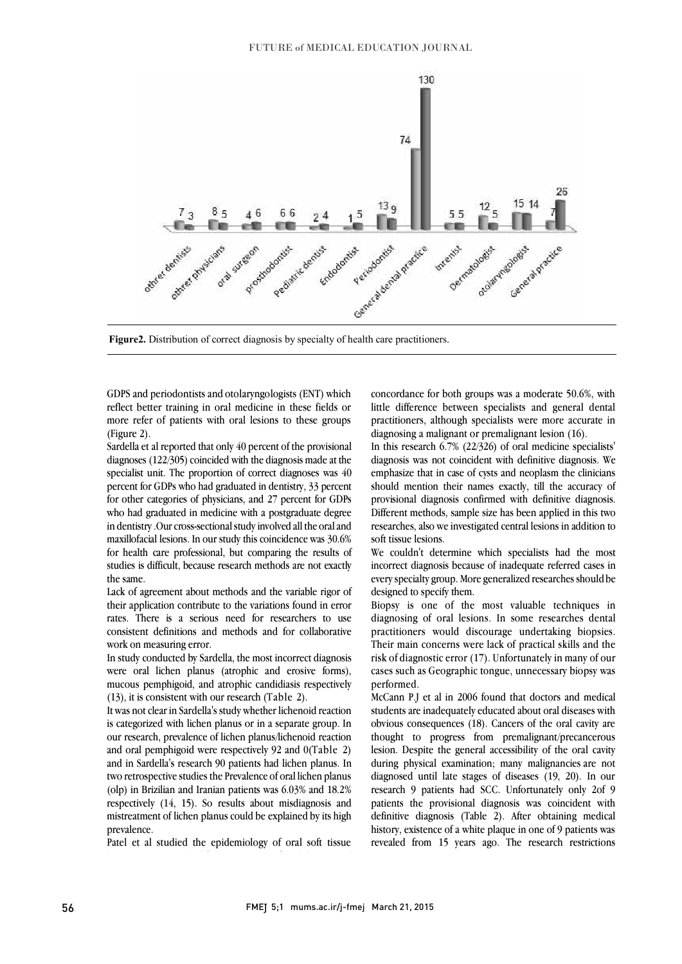

Figure2. Distribution of correct diagnosis by specialty of health care practitioners.

j

 GDPS and periodontists and otolaryngologists (ENT) which reflect better training in oral medicine in these fields or more refer of patients with oral lesions to these groups (Figure 2).

 diagnoses (122/305) coincided with the diagnosis made at the specialist unit. The proportion of correct diagnoses was 40 percent for GDPs who had graduated in dentistry, 33 percent for other categories of physicians, and 27 percent for GDPs who had graduated in medicine with a postgraduate degree maxillofacial lesions. In our study this coincidence was 30.6% for health care professional, but comparing the results of studies is difficult, because research methods are not exactly Sardella et al reported that only 40 percent of the provisional in dentistry .Our cross-sectional study involved all the oral and the same.

 Lack of agreement about methods and the variable rigor of their application contribute to the variations found in error rates. There is a serious need for researchers to use consistent definitions and methods and for collaborative work on measuring error.

work on incasuring crior.<br>In study conducted by Sardella, the most incorrect diagnosis were oral lichen planus (atrophic and erosive forms), mucous pemphigoid, and atrophic candidiasis respectively (13), it is consistent with our research (Table 2).

 is categorized with lichen planus or in a separate group. In our research, prevalence of lichen planus/lichenoid reaction and oral pemphigoid were respectively 92 and 0(Table 2) and in Sardella's research 90 patients had lichen planus. In two retrospective studies the Prevalence of oral lichen planus respectively (14, 15). So results about misdiagnosis and mistreatment of lichen planus could be explained by its high It was not clear in Sardella's study whether lichenoid reaction (olp) in Brizilian and Iranian patients was 6.03% and 18.2% prevalence.

 Patel et al studied the epidemiology of oral soft tissue lesions in New Zealand from 2002 to 2006 and determined  concordance for both groups was a moderate 50.6%, with little difference between specialists and general dental practitioners, although specialists were more accurate in diagnosing a malignant or premalignant lesion (16).

 $\overline{a}$ 

 $d$  diagnosis was not coincident with definitive diagnosis. We emphasize that in case of cysts and neoplasm the clinicians should mention their names exactly, till the accuracy of provisional diagnosis confirmed with definitive diagnosis. Different methods, sample size has been applied in this two In this research 6.7% (22/326) of oral medicine specialists' researches, also we investigated central lesions in addition to soft tissue lesions.

 We couldn't determine which specialists had the most incorrect diagnosis because of inadequate referred cases in every specialty group. More generalized researches should be designed to specify them.

 Biopsy is one of the most valuable techniques in diagnosing of oral lesions. In some researches dental practitioners would discourage undertaking biopsies. Their main concerns were lack of practical skills and the cases such as Geographic tongue, unnecessary biopsy was risk of diagnostic error (17). Unfortunately in many of our performed.

 McCann P.J et al in 2006 found that doctors and medical obvious consequences (18). Cancers of the oral cavity are thought to progress from premalignant/precancerous lesion. Despite the general accessibility of the oral cavity during physical examination; many malignancies are not research 9 patients had SCC. Unfortunately only 2of 9 patients the provisional diagnosis was coincident with definitive diagnosis (Table 2). After obtaining medical history, existence of a white plaque in one of 9 patients was revealed from 15 years ago. The research restrictions students are inadequately educated about oral diseases with diagnosed until late stages of diseases (19, 20). In our